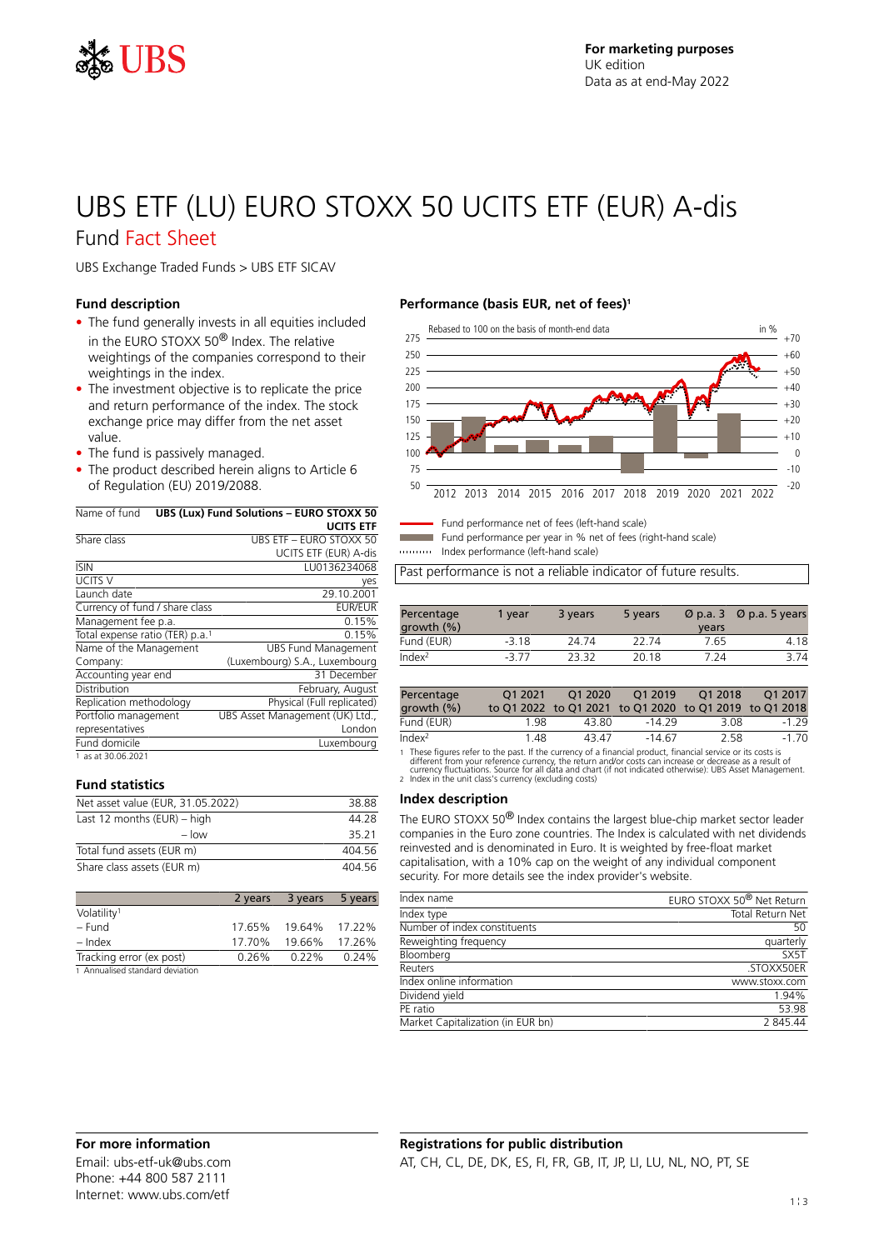

# UBS ETF (LU) EURO STOXX 50 UCITS ETF (EUR) A-dis

### Fund Fact Sheet

UBS Exchange Traded Funds > UBS ETF SICAV

#### **Fund description**

- The fund generally invests in all equities included in the EURO STOXX 50® Index. The relative weightings of the companies correspond to their weightings in the index.
- The investment objective is to replicate the price and return performance of the index. The stock exchange price may differ from the net asset value.
- The fund is passively managed.
- The product described herein aligns to Article 6 of Regulation (EU) 2019/2088.

| Name of fund                                | <b>UBS (Lux) Fund Solutions - EURO STOXX 50</b> |
|---------------------------------------------|-------------------------------------------------|
|                                             | <b>UCITS ETF</b>                                |
| Share class                                 | UBS FTF - FURO STOXX 50                         |
|                                             | UCITS ETF (EUR) A-dis                           |
| <b>ISIN</b>                                 | LU0136234068                                    |
| UCITS V                                     | yes                                             |
| Launch date                                 | 29.10.2001                                      |
| Currency of fund / share class              | <b>EUR/EUR</b>                                  |
| Management fee p.a.                         | 0.15%                                           |
| Total expense ratio (TER) p.a. <sup>1</sup> | 0.15%                                           |
| Name of the Management                      | <b>UBS Fund Management</b>                      |
| Company:                                    | (Luxembourg) S.A., Luxembourg                   |
| Accounting year end                         | 31 December                                     |
| Distribution                                | February, August                                |
| Replication methodology                     | Physical (Full replicated)                      |
| Portfolio management                        | UBS Asset Management (UK) Ltd.,                 |
| representatives                             | London                                          |
| Fund domicile                               | Luxembourg                                      |
| 1.1300000000                                |                                                 |

1 as at 30.06.2021

#### **Fund statistics**

| Net asset value (EUR, 31.05.2022) | 38.88  |
|-----------------------------------|--------|
| Last 12 months $(EUR)$ – high     | 44 28  |
| $-$ low                           | 35 21  |
| Total fund assets (EUR m)         | 404 56 |
| Share class assets (EUR m)        | 404 56 |

|                                 | 2 years | 3 years  | 5 years |
|---------------------------------|---------|----------|---------|
| Volatility <sup>1</sup>         |         |          |         |
| – Fund                          | 17.65%  | 19.64%   | 17.22%  |
| – Index                         | 17.70%  | 19.66%   | 17.26%  |
| Tracking error (ex post)        | 0.26%   | $0.22\%$ | 0.24%   |
| 1 Annualised standard deviation |         |          |         |

#### **Performance (basis EUR, net of fees)<sup>1</sup>**



Fund performance net of fees (left-hand scale)

Fund performance per year in % net of fees (right-hand scale)

Index performance (left-hand scale)

Past performance is not a reliable indicator of future results.

| Percentage<br>growth (%) | 1 vear  | 3 years | 5 years | $\varnothing$ p.a. 3<br>years | $\varnothing$ p.a. 5 years |
|--------------------------|---------|---------|---------|-------------------------------|----------------------------|
| Fund (EUR)               | $-3.18$ | 24 74   | 22.74   | 7.65                          | 4.18                       |
| Index <sup>2</sup>       | $-377$  | 23.32   | 20.18   | 7 24                          | 3 74                       |

| Percentage<br>growth $(\% )$ | 01 2021 | 01 20 20 | O1 2019<br>to Q1 2022 to Q1 2021 to Q1 2020 to Q1 2019 to Q1 2018 | O1 2018 | O1 2017  |
|------------------------------|---------|----------|-------------------------------------------------------------------|---------|----------|
| Fund (EUR)                   | 1 98    | 43.80.   | -14.29                                                            | 3.08    | $-1, 29$ |
| Index <sup>2</sup>           | 148     | 43.47    | $-14.67$                                                          | 2.58    | $-1,70$  |

1 These figures refer to the past. If the currency of a financial product, financial service or its costs is<br>different from your reference currency, the return and/or costs can increase or decrease as a result of<br>currency

#### **Index description**

The EURO STOXX 50® Index contains the largest blue-chip market sector leader companies in the Euro zone countries. The Index is calculated with net dividends reinvested and is denominated in Euro. It is weighted by free-float market capitalisation, with a 10% cap on the weight of any individual component security. For more details see the index provider's website.

| Index name                        | EURO STOXX 50 <sup>®</sup> Net Return |
|-----------------------------------|---------------------------------------|
| Index type                        | Total Return Net                      |
| Number of index constituents      | 50                                    |
| Reweighting frequency             | quarterly                             |
| Bloomberg                         | SX5T                                  |
| Reuters                           | .STOXX50ER                            |
| Index online information          | www.stoxx.com                         |
| Dividend yield                    | 1.94%                                 |
| PF ratio                          | 53.98                                 |
| Market Capitalization (in EUR bn) | 2845.44                               |
|                                   |                                       |

Email: ubs-etf-uk@ubs.com Phone: +44 800 587 2111 Internet: www.ubs.com/etf

#### **Registrations for public distribution** AT, CH, CL, DE, DK, ES, FI, FR, GB, IT, JP, LI, LU, NL, NO, PT, SE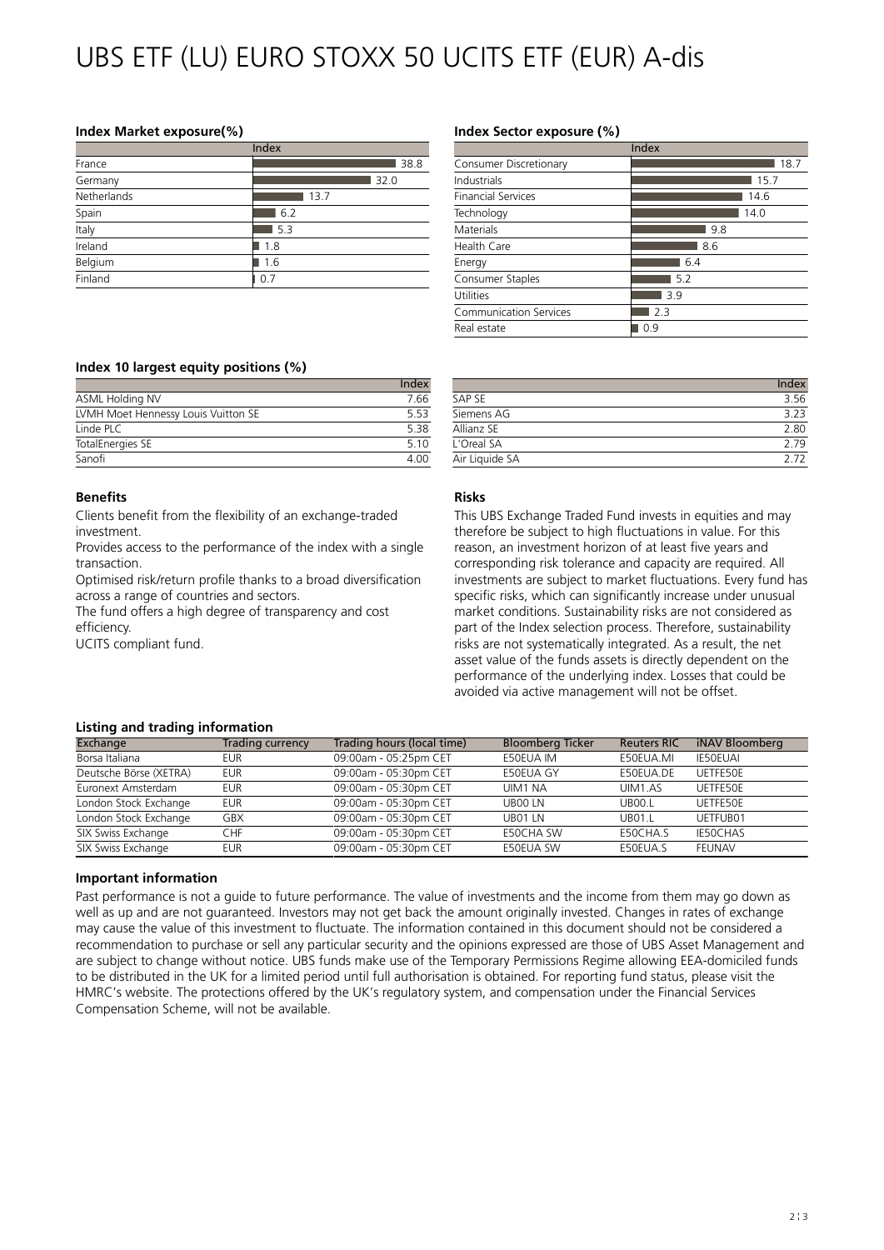## UBS ETF (LU) EURO STOXX 50 UCITS ETF (EUR) A-dis

#### **Index Market exposure(%)**

|             | Index |
|-------------|-------|
| France      | 38.8  |
| Germany     | 32.0  |
| Netherlands | 13.7  |
| Spain       | 6.2   |
| Italy       | 5.3   |
| Ireland     | 1.8   |
| Belgium     | 1.6   |
| Finland     | 0.7   |

#### **Index Sector exposure (%)**

|                           | Index |
|---------------------------|-------|
| Consumer Discretionary    | 18.7  |
| Industrials               | 15.7  |
| <b>Financial Services</b> | 14.6  |
| Technology                | 14.0  |
| Materials                 | 9.8   |
| Health Care               | 8.6   |
| Energy                    | 6.4   |
| Consumer Staples          | 5.2   |
| Utilities                 | 3.9   |
| Communication Services    | 2.3   |
| Real estate               | 0.9   |

#### **Index 10 largest equity positions (%)**

|                                     | Index       |
|-------------------------------------|-------------|
| ASML Holding NV                     | 7.66        |
| LVMH Moet Hennessy Louis Vuitton SE | 5.53        |
| Linde PLC                           | 5.38        |
| TotalEnergies SE                    | 510         |
| Sanofi                              | $\Delta$ NN |

#### **Benefits**

Clients benefit from the flexibility of an exchange-traded investment.

Provides access to the performance of the index with a single transaction.

Optimised risk/return profile thanks to a broad diversification across a range of countries and sectors.

The fund offers a high degree of transparency and cost efficiency.

UCITS compliant fund.

#### Index SAP SE 3.56 Siemens AG 3.23 Allianz SE 2.80 L'Oreal SA 2.79 Air Liquide SA 2.72

#### **Risks**

This UBS Exchange Traded Fund invests in equities and may therefore be subject to high fluctuations in value. For this reason, an investment horizon of at least five years and corresponding risk tolerance and capacity are required. All investments are subject to market fluctuations. Every fund has specific risks, which can significantly increase under unusual market conditions. Sustainability risks are not considered as part of the Index selection process. Therefore, sustainability risks are not systematically integrated. As a result, the net asset value of the funds assets is directly dependent on the performance of the underlying index. Losses that could be avoided via active management will not be offset.

#### **Listing and trading information**

| Exchange               | Trading currency | Trading hours (local time) | <b>Bloomberg Ticker</b> | <b>Reuters RIC</b> | iNAV Bloomberg  |
|------------------------|------------------|----------------------------|-------------------------|--------------------|-----------------|
| Borsa Italiana         | EUR              | 09:00am - 05:25pm CET      | E50EUA IM               | E50EUA.MI          | <b>IE50EUAI</b> |
| Deutsche Börse (XETRA) | <b>EUR</b>       | 09:00am - 05:30pm CET      | E50EUA GY               | E50EUA.DE          | UFTFF50F        |
| Euronext Amsterdam     | EUR              | 09:00am - 05:30pm CET      | UIM1 NA                 | UIM1.AS            | UETFE50E        |
| London Stock Exchange  | <b>EUR</b>       | 09:00am - 05:30pm CET      | UB00 LN                 | <b>UB00.L</b>      | UFTFF50F        |
| London Stock Exchange  | <b>GBX</b>       | 09:00am - 05:30pm CET      | UB01 LN                 | <b>UB01.L</b>      | UETFUB01        |
| SIX Swiss Exchange     | CHF              | 09:00am - 05:30pm CET      | <b>F50CHA SW</b>        | F50CHA.S           | <b>IE50CHAS</b> |
| SIX Swiss Exchange     | EUR              | 09:00am - 05:30pm CET      | F50FUA SW               | F50FUA.S           | FFUNAV          |

#### **Important information**

Past performance is not a guide to future performance. The value of investments and the income from them may go down as well as up and are not guaranteed. Investors may not get back the amount originally invested. Changes in rates of exchange may cause the value of this investment to fluctuate. The information contained in this document should not be considered a recommendation to purchase or sell any particular security and the opinions expressed are those of UBS Asset Management and are subject to change without notice. UBS funds make use of the Temporary Permissions Regime allowing EEA-domiciled funds to be distributed in the UK for a limited period until full authorisation is obtained. For reporting fund status, please visit the HMRC's website. The protections offered by the UK's regulatory system, and compensation under the Financial Services Compensation Scheme, will not be available.